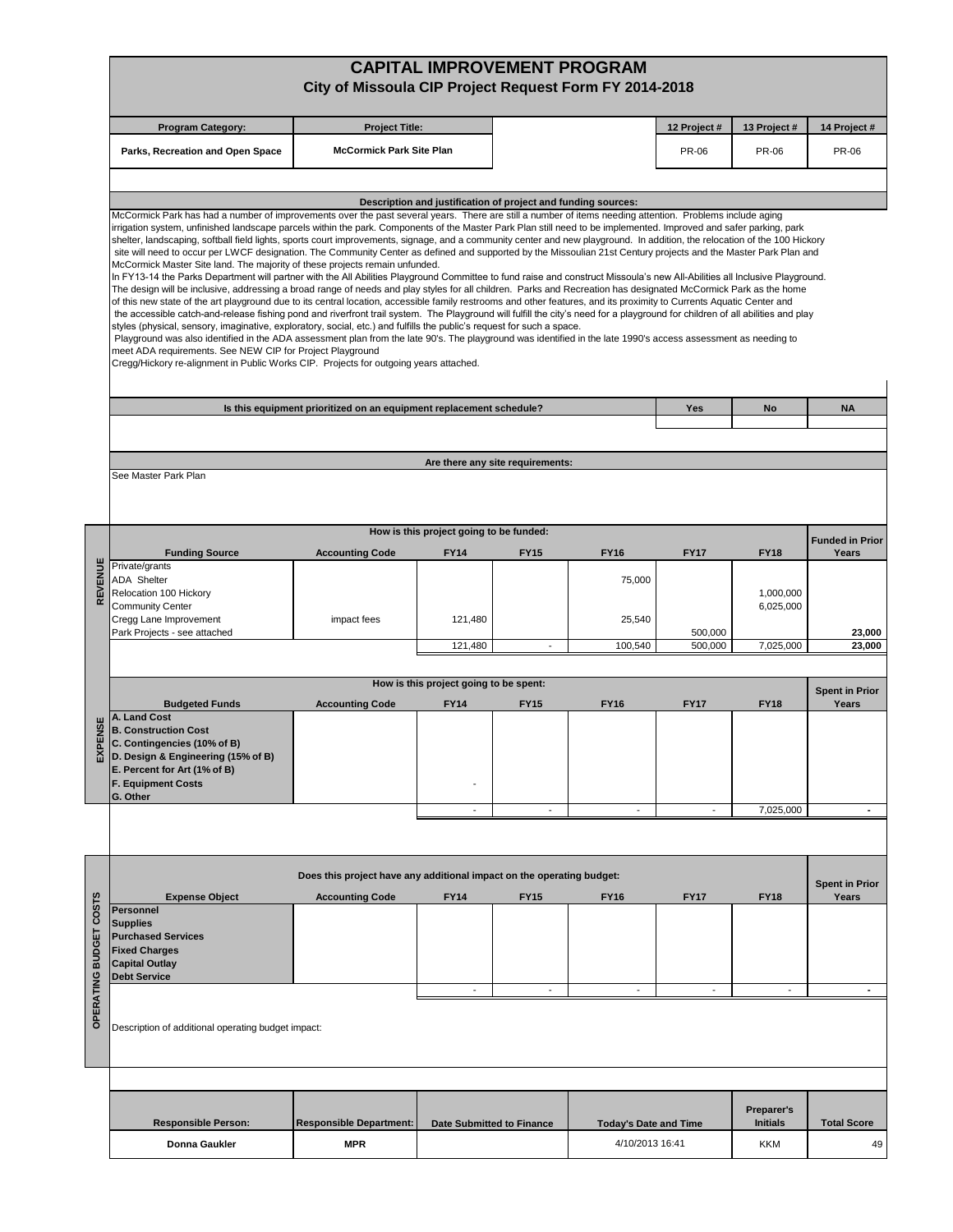|                        |                                                                                                                                                                                                                                                                                                                                                                                                                                                                                                                                                                                                                                                                                                                                                                                                                                                                                                                                                                                                                                                                                                                                                                                                                                                                                                                                                                                                                                                                                                                                                                                                                                                                                                                                                                                                                                                                                                                                 | City of Missoula CIP Project Request Form FY 2014-2018                |                                                               |                                  | <b>CAPITAL IMPROVEMENT PROGRAM</b> |                    |                                      |                                |  |  |
|------------------------|---------------------------------------------------------------------------------------------------------------------------------------------------------------------------------------------------------------------------------------------------------------------------------------------------------------------------------------------------------------------------------------------------------------------------------------------------------------------------------------------------------------------------------------------------------------------------------------------------------------------------------------------------------------------------------------------------------------------------------------------------------------------------------------------------------------------------------------------------------------------------------------------------------------------------------------------------------------------------------------------------------------------------------------------------------------------------------------------------------------------------------------------------------------------------------------------------------------------------------------------------------------------------------------------------------------------------------------------------------------------------------------------------------------------------------------------------------------------------------------------------------------------------------------------------------------------------------------------------------------------------------------------------------------------------------------------------------------------------------------------------------------------------------------------------------------------------------------------------------------------------------------------------------------------------------|-----------------------------------------------------------------------|---------------------------------------------------------------|----------------------------------|------------------------------------|--------------------|--------------------------------------|--------------------------------|--|--|
|                        | <b>Program Category:</b>                                                                                                                                                                                                                                                                                                                                                                                                                                                                                                                                                                                                                                                                                                                                                                                                                                                                                                                                                                                                                                                                                                                                                                                                                                                                                                                                                                                                                                                                                                                                                                                                                                                                                                                                                                                                                                                                                                        | <b>Project Title:</b>                                                 |                                                               |                                  |                                    | 12 Project #       | 13 Project #                         | 14 Project #                   |  |  |
|                        | Parks, Recreation and Open Space                                                                                                                                                                                                                                                                                                                                                                                                                                                                                                                                                                                                                                                                                                                                                                                                                                                                                                                                                                                                                                                                                                                                                                                                                                                                                                                                                                                                                                                                                                                                                                                                                                                                                                                                                                                                                                                                                                | <b>McCormick Park Site Plan</b>                                       |                                                               |                                  |                                    | <b>PR-06</b>       | <b>PR-06</b>                         | <b>PR-06</b>                   |  |  |
|                        |                                                                                                                                                                                                                                                                                                                                                                                                                                                                                                                                                                                                                                                                                                                                                                                                                                                                                                                                                                                                                                                                                                                                                                                                                                                                                                                                                                                                                                                                                                                                                                                                                                                                                                                                                                                                                                                                                                                                 |                                                                       |                                                               |                                  |                                    |                    |                                      |                                |  |  |
|                        |                                                                                                                                                                                                                                                                                                                                                                                                                                                                                                                                                                                                                                                                                                                                                                                                                                                                                                                                                                                                                                                                                                                                                                                                                                                                                                                                                                                                                                                                                                                                                                                                                                                                                                                                                                                                                                                                                                                                 |                                                                       | Description and justification of project and funding sources: |                                  |                                    |                    |                                      |                                |  |  |
|                        | McCormick Park has had a number of improvements over the past several years. There are still a number of items needing attention. Problems include aging<br>irrigation system, unfinished landscape parcels within the park. Components of the Master Park Plan still need to be implemented. Improved and safer parking, park<br>shelter, landscaping, softball field lights, sports court improvements, signage, and a community center and new playground. In addition, the relocation of the 100 Hickory<br>site will need to occur per LWCF designation. The Community Center as defined and supported by the Missoulian 21st Century projects and the Master Park Plan and<br>McCormick Master Site land. The majority of these projects remain unfunded.<br>In FY13-14 the Parks Department will partner with the All Abilities Playground Committee to fund raise and construct Missoula's new All-Abilities all Inclusive Playground.<br>The design will be inclusive, addressing a broad range of needs and play styles for all children. Parks and Recreation has designated McCormick Park as the home<br>of this new state of the art playground due to its central location, accessible family restrooms and other features, and its proximity to Currents Aquatic Center and<br>the accessible catch-and-release fishing pond and riverfront trail system. The Playground will fulfill the city's need for a playground for children of all abilities and play<br>styles (physical, sensory, imaginative, exploratory, social, etc.) and fulfills the public's request for such a space.<br>Playground was also identified in the ADA assessment plan from the late 90's. The playground was identified in the late 1990's access assessment as needing to<br>meet ADA requirements. See NEW CIP for Project Playground<br>Cregg/Hickory re-alignment in Public Works CIP. Projects for outgoing years attached. |                                                                       |                                                               |                                  |                                    |                    |                                      |                                |  |  |
|                        |                                                                                                                                                                                                                                                                                                                                                                                                                                                                                                                                                                                                                                                                                                                                                                                                                                                                                                                                                                                                                                                                                                                                                                                                                                                                                                                                                                                                                                                                                                                                                                                                                                                                                                                                                                                                                                                                                                                                 | Is this equipment prioritized on an equipment replacement schedule?   |                                                               |                                  |                                    | Yes                | No                                   | <b>NA</b>                      |  |  |
|                        |                                                                                                                                                                                                                                                                                                                                                                                                                                                                                                                                                                                                                                                                                                                                                                                                                                                                                                                                                                                                                                                                                                                                                                                                                                                                                                                                                                                                                                                                                                                                                                                                                                                                                                                                                                                                                                                                                                                                 |                                                                       |                                                               |                                  |                                    |                    |                                      |                                |  |  |
|                        |                                                                                                                                                                                                                                                                                                                                                                                                                                                                                                                                                                                                                                                                                                                                                                                                                                                                                                                                                                                                                                                                                                                                                                                                                                                                                                                                                                                                                                                                                                                                                                                                                                                                                                                                                                                                                                                                                                                                 |                                                                       |                                                               |                                  |                                    |                    |                                      |                                |  |  |
|                        | See Master Park Plan                                                                                                                                                                                                                                                                                                                                                                                                                                                                                                                                                                                                                                                                                                                                                                                                                                                                                                                                                                                                                                                                                                                                                                                                                                                                                                                                                                                                                                                                                                                                                                                                                                                                                                                                                                                                                                                                                                            |                                                                       |                                                               | Are there any site requirements: |                                    |                    |                                      |                                |  |  |
|                        |                                                                                                                                                                                                                                                                                                                                                                                                                                                                                                                                                                                                                                                                                                                                                                                                                                                                                                                                                                                                                                                                                                                                                                                                                                                                                                                                                                                                                                                                                                                                                                                                                                                                                                                                                                                                                                                                                                                                 |                                                                       |                                                               |                                  |                                    |                    |                                      |                                |  |  |
|                        |                                                                                                                                                                                                                                                                                                                                                                                                                                                                                                                                                                                                                                                                                                                                                                                                                                                                                                                                                                                                                                                                                                                                                                                                                                                                                                                                                                                                                                                                                                                                                                                                                                                                                                                                                                                                                                                                                                                                 |                                                                       | How is this project going to be funded:                       |                                  |                                    |                    |                                      | <b>Funded in Prior</b>         |  |  |
|                        | <b>Funding Source</b><br>Private/grants<br><b>ADA</b> Shelter                                                                                                                                                                                                                                                                                                                                                                                                                                                                                                                                                                                                                                                                                                                                                                                                                                                                                                                                                                                                                                                                                                                                                                                                                                                                                                                                                                                                                                                                                                                                                                                                                                                                                                                                                                                                                                                                   | <b>Accounting Code</b>                                                | <b>FY14</b>                                                   | <b>FY15</b>                      | <b>FY16</b><br>75,000              | <b>FY17</b>        | <b>FY18</b>                          | Years                          |  |  |
| REVENUE                | Relocation 100 Hickory                                                                                                                                                                                                                                                                                                                                                                                                                                                                                                                                                                                                                                                                                                                                                                                                                                                                                                                                                                                                                                                                                                                                                                                                                                                                                                                                                                                                                                                                                                                                                                                                                                                                                                                                                                                                                                                                                                          |                                                                       |                                                               |                                  |                                    |                    | 1,000,000                            |                                |  |  |
|                        | <b>Community Center</b><br>Cregg Lane Improvement                                                                                                                                                                                                                                                                                                                                                                                                                                                                                                                                                                                                                                                                                                                                                                                                                                                                                                                                                                                                                                                                                                                                                                                                                                                                                                                                                                                                                                                                                                                                                                                                                                                                                                                                                                                                                                                                               | impact fees                                                           | 121,480                                                       |                                  | 25,540                             |                    | 6,025,000                            |                                |  |  |
|                        | Park Projects - see attached                                                                                                                                                                                                                                                                                                                                                                                                                                                                                                                                                                                                                                                                                                                                                                                                                                                                                                                                                                                                                                                                                                                                                                                                                                                                                                                                                                                                                                                                                                                                                                                                                                                                                                                                                                                                                                                                                                    |                                                                       | 121,480                                                       | $\overline{\phantom{a}}$         | 100,540                            | 500,000<br>500,000 | 7,025,000                            | 23,000<br>23,000               |  |  |
|                        |                                                                                                                                                                                                                                                                                                                                                                                                                                                                                                                                                                                                                                                                                                                                                                                                                                                                                                                                                                                                                                                                                                                                                                                                                                                                                                                                                                                                                                                                                                                                                                                                                                                                                                                                                                                                                                                                                                                                 |                                                                       |                                                               |                                  |                                    |                    |                                      |                                |  |  |
|                        |                                                                                                                                                                                                                                                                                                                                                                                                                                                                                                                                                                                                                                                                                                                                                                                                                                                                                                                                                                                                                                                                                                                                                                                                                                                                                                                                                                                                                                                                                                                                                                                                                                                                                                                                                                                                                                                                                                                                 |                                                                       | How is this project going to be spent:                        |                                  |                                    |                    |                                      | <b>Spent in Prior</b>          |  |  |
|                        | <b>Budgeted Funds</b><br>A. Land Cost                                                                                                                                                                                                                                                                                                                                                                                                                                                                                                                                                                                                                                                                                                                                                                                                                                                                                                                                                                                                                                                                                                                                                                                                                                                                                                                                                                                                                                                                                                                                                                                                                                                                                                                                                                                                                                                                                           | <b>Accounting Code</b>                                                | <b>FY14</b>                                                   | <b>FY15</b>                      | <b>FY16</b>                        | <b>FY17</b>        | <b>FY18</b>                          | Years                          |  |  |
| PENSE<br>낁             | <b>B. Construction Cost</b><br>C. Contingencies (10% of B)<br>D. Design & Engineering (15% of B)<br>E. Percent for Art (1% of B)<br><b>F. Equipment Costs</b><br>G. Other                                                                                                                                                                                                                                                                                                                                                                                                                                                                                                                                                                                                                                                                                                                                                                                                                                                                                                                                                                                                                                                                                                                                                                                                                                                                                                                                                                                                                                                                                                                                                                                                                                                                                                                                                       |                                                                       |                                                               |                                  |                                    |                    |                                      |                                |  |  |
|                        |                                                                                                                                                                                                                                                                                                                                                                                                                                                                                                                                                                                                                                                                                                                                                                                                                                                                                                                                                                                                                                                                                                                                                                                                                                                                                                                                                                                                                                                                                                                                                                                                                                                                                                                                                                                                                                                                                                                                 |                                                                       | $\overline{a}$                                                | $\sim$                           | $\overline{\phantom{a}}$           | $\overline{a}$     | 7,025,000                            | ÷.                             |  |  |
|                        |                                                                                                                                                                                                                                                                                                                                                                                                                                                                                                                                                                                                                                                                                                                                                                                                                                                                                                                                                                                                                                                                                                                                                                                                                                                                                                                                                                                                                                                                                                                                                                                                                                                                                                                                                                                                                                                                                                                                 |                                                                       |                                                               |                                  |                                    |                    |                                      |                                |  |  |
|                        |                                                                                                                                                                                                                                                                                                                                                                                                                                                                                                                                                                                                                                                                                                                                                                                                                                                                                                                                                                                                                                                                                                                                                                                                                                                                                                                                                                                                                                                                                                                                                                                                                                                                                                                                                                                                                                                                                                                                 | Does this project have any additional impact on the operating budget: |                                                               |                                  |                                    |                    |                                      |                                |  |  |
|                        | <b>Expense Object</b>                                                                                                                                                                                                                                                                                                                                                                                                                                                                                                                                                                                                                                                                                                                                                                                                                                                                                                                                                                                                                                                                                                                                                                                                                                                                                                                                                                                                                                                                                                                                                                                                                                                                                                                                                                                                                                                                                                           | <b>Accounting Code</b>                                                | <b>FY14</b>                                                   | <b>FY15</b>                      | <b>FY16</b>                        | <b>FY17</b>        | <b>FY18</b>                          | <b>Spent in Prior</b><br>Years |  |  |
| OPERATING BUDGET COSTS | <b>Personnel</b><br><b>Supplies</b><br><b>Purchased Services</b><br><b>Fixed Charges</b><br><b>Capital Outlay</b>                                                                                                                                                                                                                                                                                                                                                                                                                                                                                                                                                                                                                                                                                                                                                                                                                                                                                                                                                                                                                                                                                                                                                                                                                                                                                                                                                                                                                                                                                                                                                                                                                                                                                                                                                                                                               |                                                                       |                                                               |                                  |                                    |                    |                                      |                                |  |  |
|                        | <b>Debt Service</b>                                                                                                                                                                                                                                                                                                                                                                                                                                                                                                                                                                                                                                                                                                                                                                                                                                                                                                                                                                                                                                                                                                                                                                                                                                                                                                                                                                                                                                                                                                                                                                                                                                                                                                                                                                                                                                                                                                             |                                                                       |                                                               |                                  |                                    |                    |                                      |                                |  |  |
|                        | $\overline{\phantom{a}}$<br>$\overline{\phantom{a}}$<br>$\overline{\phantom{a}}$<br>$\overline{\phantom{a}}$<br>$\overline{\phantom{a}}$<br>$\blacksquare$<br>Description of additional operating budget impact:                                                                                                                                                                                                                                                                                                                                                                                                                                                                                                                                                                                                                                                                                                                                                                                                                                                                                                                                                                                                                                                                                                                                                                                                                                                                                                                                                                                                                                                                                                                                                                                                                                                                                                                |                                                                       |                                                               |                                  |                                    |                    |                                      |                                |  |  |
|                        |                                                                                                                                                                                                                                                                                                                                                                                                                                                                                                                                                                                                                                                                                                                                                                                                                                                                                                                                                                                                                                                                                                                                                                                                                                                                                                                                                                                                                                                                                                                                                                                                                                                                                                                                                                                                                                                                                                                                 |                                                                       |                                                               |                                  |                                    |                    |                                      |                                |  |  |
|                        | <b>Responsible Person:</b>                                                                                                                                                                                                                                                                                                                                                                                                                                                                                                                                                                                                                                                                                                                                                                                                                                                                                                                                                                                                                                                                                                                                                                                                                                                                                                                                                                                                                                                                                                                                                                                                                                                                                                                                                                                                                                                                                                      | <b>Responsible Department:</b>                                        | <b>Date Submitted to Finance</b>                              |                                  | <b>Today's Date and Time</b>       |                    | <b>Preparer's</b><br><b>Initials</b> | <b>Total Score</b>             |  |  |
|                        | Donna Gaukler                                                                                                                                                                                                                                                                                                                                                                                                                                                                                                                                                                                                                                                                                                                                                                                                                                                                                                                                                                                                                                                                                                                                                                                                                                                                                                                                                                                                                                                                                                                                                                                                                                                                                                                                                                                                                                                                                                                   | <b>MPR</b>                                                            |                                                               |                                  | 4/10/2013 16:41                    |                    | <b>KKM</b>                           | 49                             |  |  |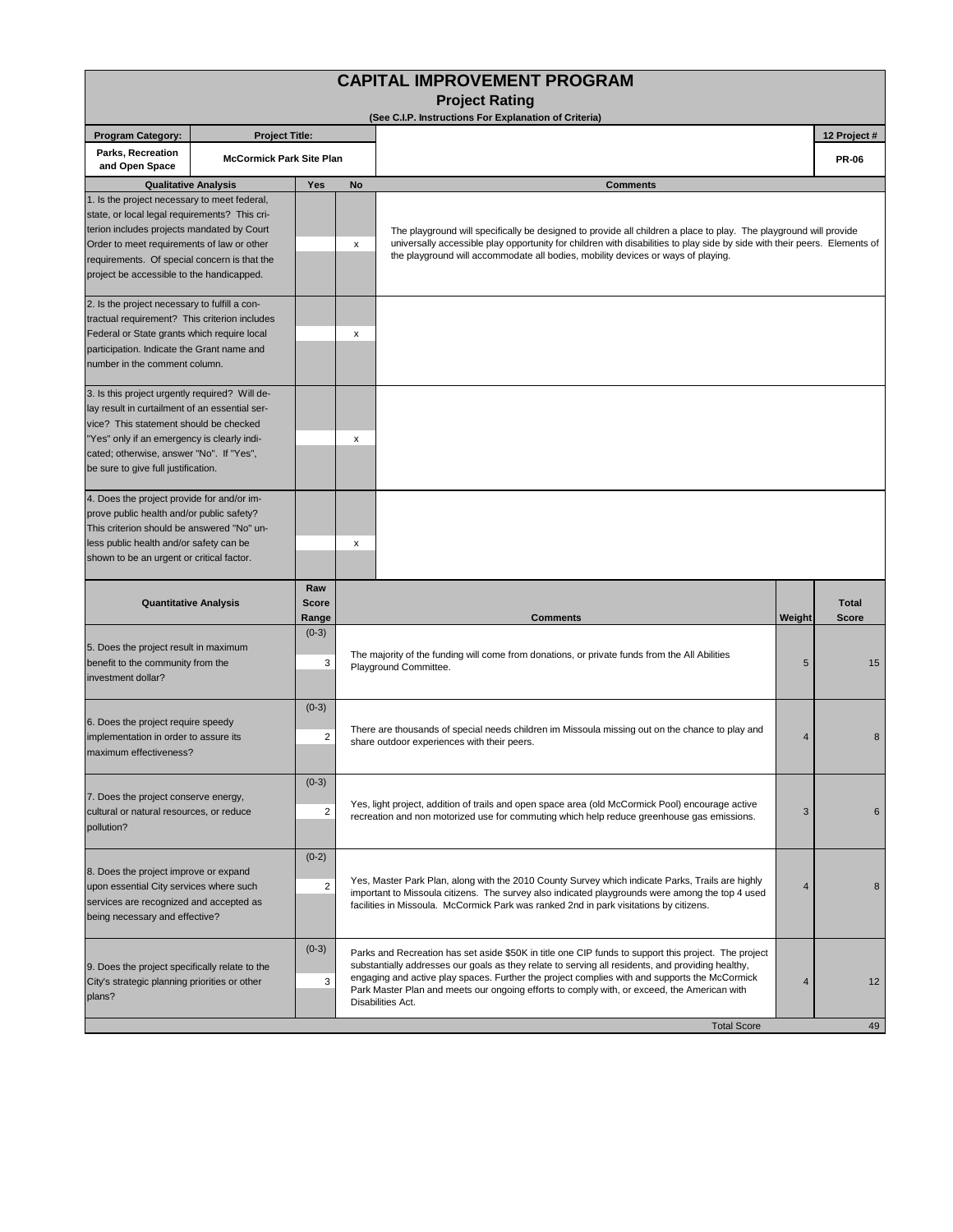| <b>CAPITAL IMPROVEMENT PROGRAM</b><br><b>Project Rating</b>                                                                                                                                                                                                                            |                                                                                                          |                                                                                                                                                                                                                                                                                                                                                                                                           |                                                                                                                                                                                                                                                                                                                                    |                                                                                                                                                                                                                                                                                                                 |                |                              |  |  |
|----------------------------------------------------------------------------------------------------------------------------------------------------------------------------------------------------------------------------------------------------------------------------------------|----------------------------------------------------------------------------------------------------------|-----------------------------------------------------------------------------------------------------------------------------------------------------------------------------------------------------------------------------------------------------------------------------------------------------------------------------------------------------------------------------------------------------------|------------------------------------------------------------------------------------------------------------------------------------------------------------------------------------------------------------------------------------------------------------------------------------------------------------------------------------|-----------------------------------------------------------------------------------------------------------------------------------------------------------------------------------------------------------------------------------------------------------------------------------------------------------------|----------------|------------------------------|--|--|
|                                                                                                                                                                                                                                                                                        |                                                                                                          |                                                                                                                                                                                                                                                                                                                                                                                                           |                                                                                                                                                                                                                                                                                                                                    | (See C.I.P. Instructions For Explanation of Criteria)                                                                                                                                                                                                                                                           |                |                              |  |  |
| <b>Program Category:</b><br><b>Project Title:</b>                                                                                                                                                                                                                                      |                                                                                                          |                                                                                                                                                                                                                                                                                                                                                                                                           |                                                                                                                                                                                                                                                                                                                                    |                                                                                                                                                                                                                                                                                                                 |                | 12 Project #                 |  |  |
| Parks, Recreation<br><b>McCormick Park Site Plan</b><br>and Open Space                                                                                                                                                                                                                 |                                                                                                          |                                                                                                                                                                                                                                                                                                                                                                                                           |                                                                                                                                                                                                                                                                                                                                    |                                                                                                                                                                                                                                                                                                                 |                |                              |  |  |
|                                                                                                                                                                                                                                                                                        | <b>Qualitative Analysis</b>                                                                              | Yes                                                                                                                                                                                                                                                                                                                                                                                                       | <b>No</b>                                                                                                                                                                                                                                                                                                                          | <b>Comments</b>                                                                                                                                                                                                                                                                                                 |                |                              |  |  |
| 1. Is the project necessary to meet federal,<br>state, or local legal requirements? This cri-<br>terion includes projects mandated by Court<br>Order to meet requirements of law or other<br>requirements. Of special concern is that the<br>project be accessible to the handicapped. |                                                                                                          | x                                                                                                                                                                                                                                                                                                                                                                                                         | The playground will specifically be designed to provide all children a place to play. The playground will provide<br>universally accessible play opportunity for children with disabilities to play side by side with their peers. Elements of<br>the playground will accommodate all bodies, mobility devices or ways of playing. |                                                                                                                                                                                                                                                                                                                 |                |                              |  |  |
| 2. Is the project necessary to fulfill a con-<br>tractual requirement? This criterion includes<br>Federal or State grants which require local<br>participation. Indicate the Grant name and<br>number in the comment column.                                                           |                                                                                                          |                                                                                                                                                                                                                                                                                                                                                                                                           | x                                                                                                                                                                                                                                                                                                                                  |                                                                                                                                                                                                                                                                                                                 |                |                              |  |  |
| 3. Is this project urgently required? Will de-<br>lay result in curtailment of an essential ser-<br>vice? This statement should be checked<br>"Yes" only if an emergency is clearly indi-<br>cated; otherwise, answer "No". If "Yes",<br>be sure to give full justification.           |                                                                                                          |                                                                                                                                                                                                                                                                                                                                                                                                           | x                                                                                                                                                                                                                                                                                                                                  |                                                                                                                                                                                                                                                                                                                 |                |                              |  |  |
| 4. Does the project provide for and/or im-<br>prove public health and/or public safety?<br>This criterion should be answered "No" un-<br>less public health and/or safety can be<br>shown to be an urgent or critical factor.                                                          |                                                                                                          |                                                                                                                                                                                                                                                                                                                                                                                                           | х                                                                                                                                                                                                                                                                                                                                  |                                                                                                                                                                                                                                                                                                                 |                |                              |  |  |
|                                                                                                                                                                                                                                                                                        | <b>Quantitative Analysis</b>                                                                             | Raw<br><b>Score</b><br>Range                                                                                                                                                                                                                                                                                                                                                                              |                                                                                                                                                                                                                                                                                                                                    | Comments                                                                                                                                                                                                                                                                                                        | Weight         | <b>Total</b><br><b>Score</b> |  |  |
| 5. Does the project result in maximum<br>benefit to the community from the<br>investment dollar?                                                                                                                                                                                       |                                                                                                          | $(0-3)$<br>3                                                                                                                                                                                                                                                                                                                                                                                              | The majority of the funding will come from donations, or private funds from the All Abilities<br>Playground Committee.                                                                                                                                                                                                             |                                                                                                                                                                                                                                                                                                                 | 5              | 15                           |  |  |
| maximum effectiveness?                                                                                                                                                                                                                                                                 | $(0-3)$<br>6. Does the project require speedy<br>$\overline{2}$<br>implementation in order to assure its |                                                                                                                                                                                                                                                                                                                                                                                                           |                                                                                                                                                                                                                                                                                                                                    | There are thousands of special needs children im Missoula missing out on the chance to play and<br>share outdoor experiences with their peers.                                                                                                                                                                  | $\overline{4}$ | 8                            |  |  |
| 7. Does the project conserve energy,<br>cultural or natural resources, or reduce<br>pollution?                                                                                                                                                                                         |                                                                                                          | $(0-3)$<br>$\overline{2}$                                                                                                                                                                                                                                                                                                                                                                                 |                                                                                                                                                                                                                                                                                                                                    | Yes, light project, addition of trails and open space area (old McCormick Pool) encourage active<br>recreation and non motorized use for commuting which help reduce greenhouse gas emissions.                                                                                                                  |                | 6                            |  |  |
| 8. Does the project improve or expand<br>upon essential City services where such<br>services are recognized and accepted as<br>being necessary and effective?                                                                                                                          |                                                                                                          | $(0-2)$<br>$\overline{2}$                                                                                                                                                                                                                                                                                                                                                                                 |                                                                                                                                                                                                                                                                                                                                    | Yes, Master Park Plan, along with the 2010 County Survey which indicate Parks, Trails are highly<br>$\overline{4}$<br>important to Missoula citizens. The survey also indicated playgrounds were among the top 4 used<br>facilities in Missoula. McCormick Park was ranked 2nd in park visitations by citizens. |                |                              |  |  |
| $(0-3)$<br>9. Does the project specifically relate to the<br>City's strategic planning priorities or other<br>3<br>plans?<br>Disabilities Act.                                                                                                                                         |                                                                                                          | Parks and Recreation has set aside \$50K in title one CIP funds to support this project. The project<br>substantially addresses our goals as they relate to serving all residents, and providing healthy,<br>engaging and active play spaces. Further the project complies with and supports the McCormick<br>Park Master Plan and meets our ongoing efforts to comply with, or exceed, the American with | $\overline{4}$                                                                                                                                                                                                                                                                                                                     | 12                                                                                                                                                                                                                                                                                                              |                |                              |  |  |
|                                                                                                                                                                                                                                                                                        |                                                                                                          |                                                                                                                                                                                                                                                                                                                                                                                                           |                                                                                                                                                                                                                                                                                                                                    | <b>Total Score</b>                                                                                                                                                                                                                                                                                              |                | 49                           |  |  |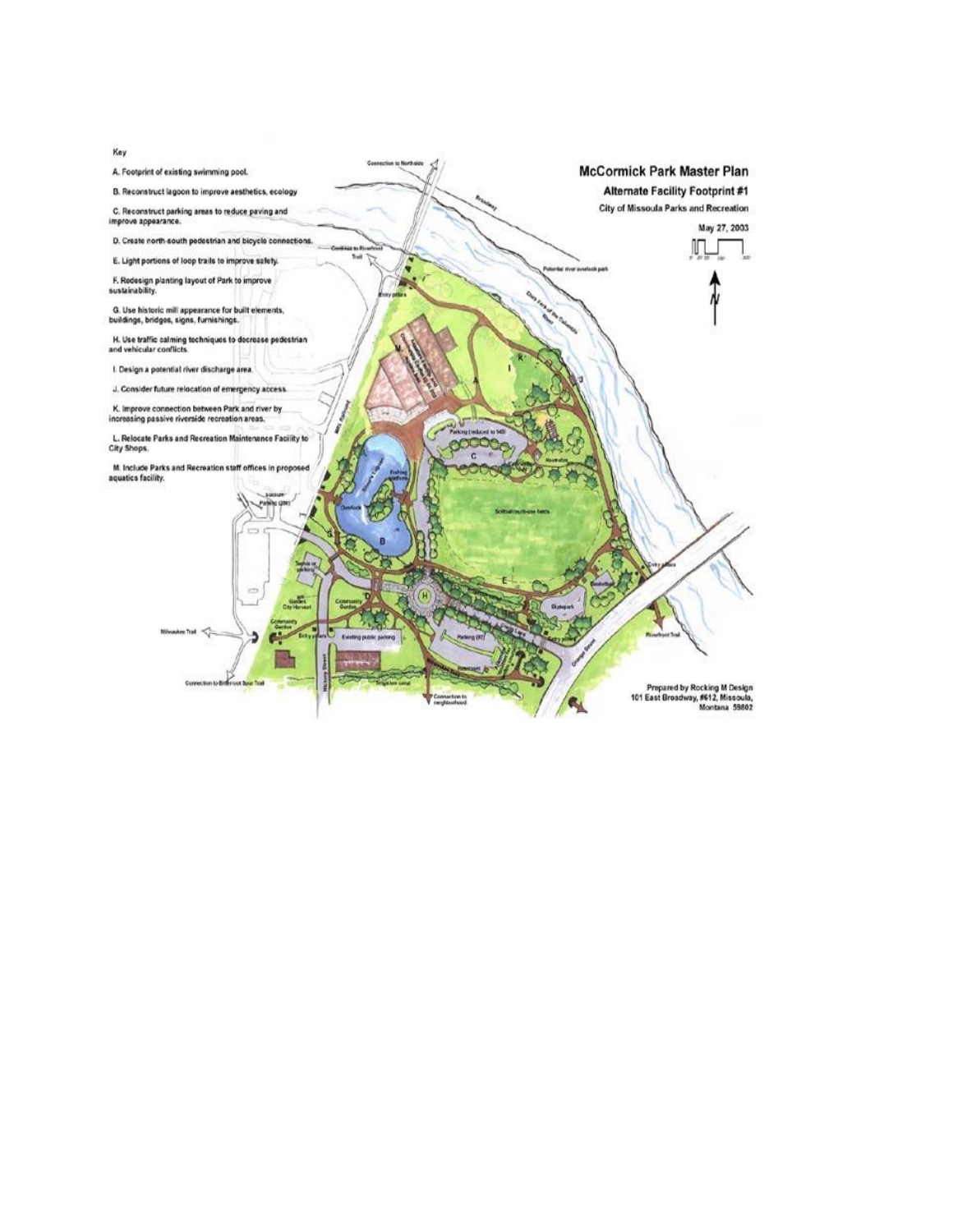

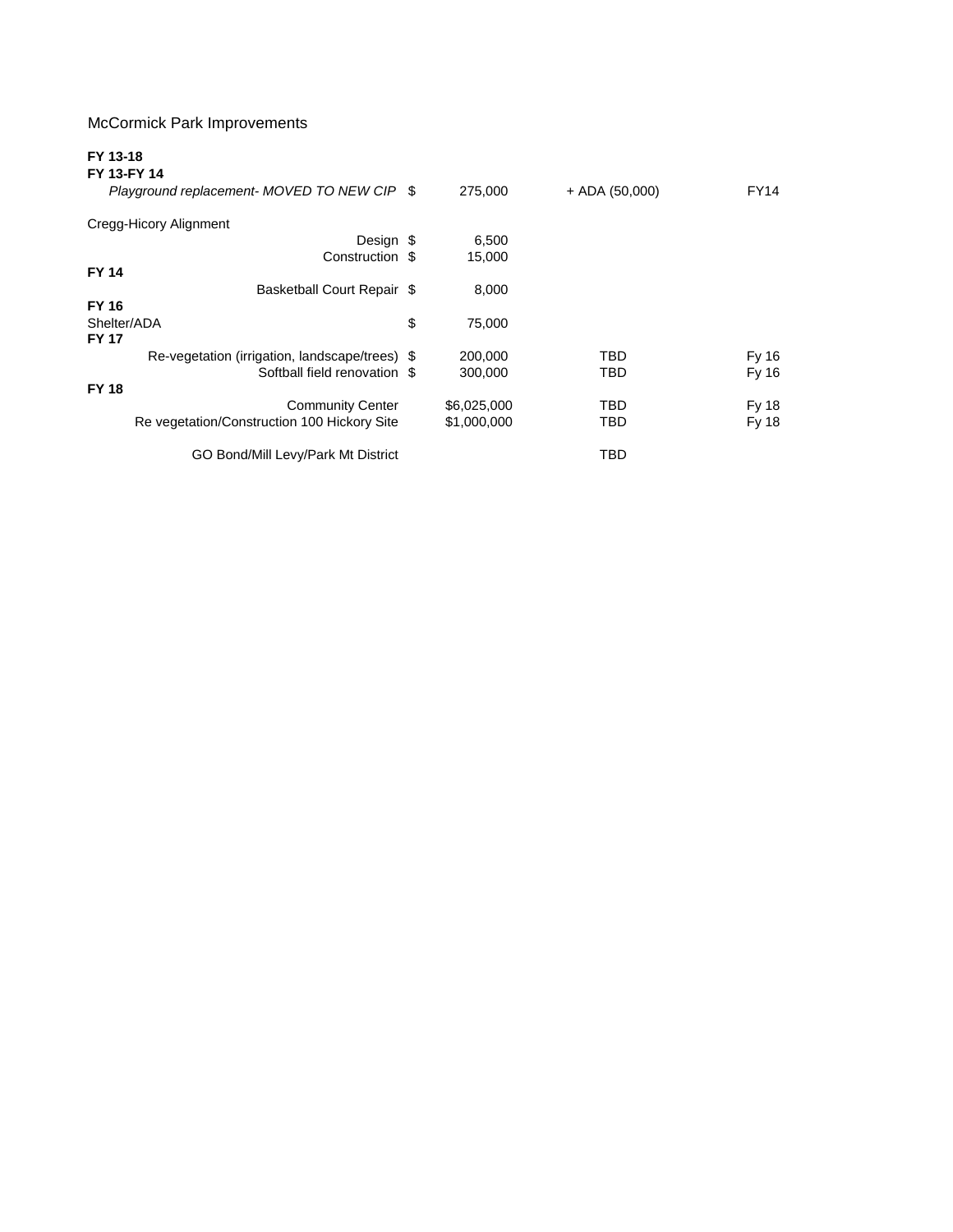## McCormick Park Improvements

## **FY 13-18**

| FY 13-FY 14                                    |              |                  |             |
|------------------------------------------------|--------------|------------------|-------------|
| Playground replacement- MOVED TO NEW CIP \$    | 275,000      | $+$ ADA (50,000) | <b>FY14</b> |
| Cregg-Hicory Alignment                         |              |                  |             |
| Design \$                                      | 6,500        |                  |             |
| Construction \$                                | 15,000       |                  |             |
| <b>FY 14</b>                                   |              |                  |             |
| Basketball Court Repair \$                     | 8,000        |                  |             |
| <b>FY 16</b>                                   |              |                  |             |
| Shelter/ADA                                    | \$<br>75,000 |                  |             |
| <b>FY 17</b>                                   |              |                  |             |
| Re-vegetation (irrigation, landscape/trees) \$ | 200,000      | <b>TBD</b>       | Fy 16       |
| Softball field renovation \$                   | 300.000      | TBD              | Fy 16       |
| <b>FY 18</b>                                   |              |                  |             |
| <b>Community Center</b>                        | \$6,025,000  | TBD              | Fy 18       |
| Re vegetation/Construction 100 Hickory Site    | \$1,000,000  | TBD              | Fy 18       |
|                                                |              |                  |             |
| GO Bond/Mill Levy/Park Mt District             |              | <b>TBD</b>       |             |